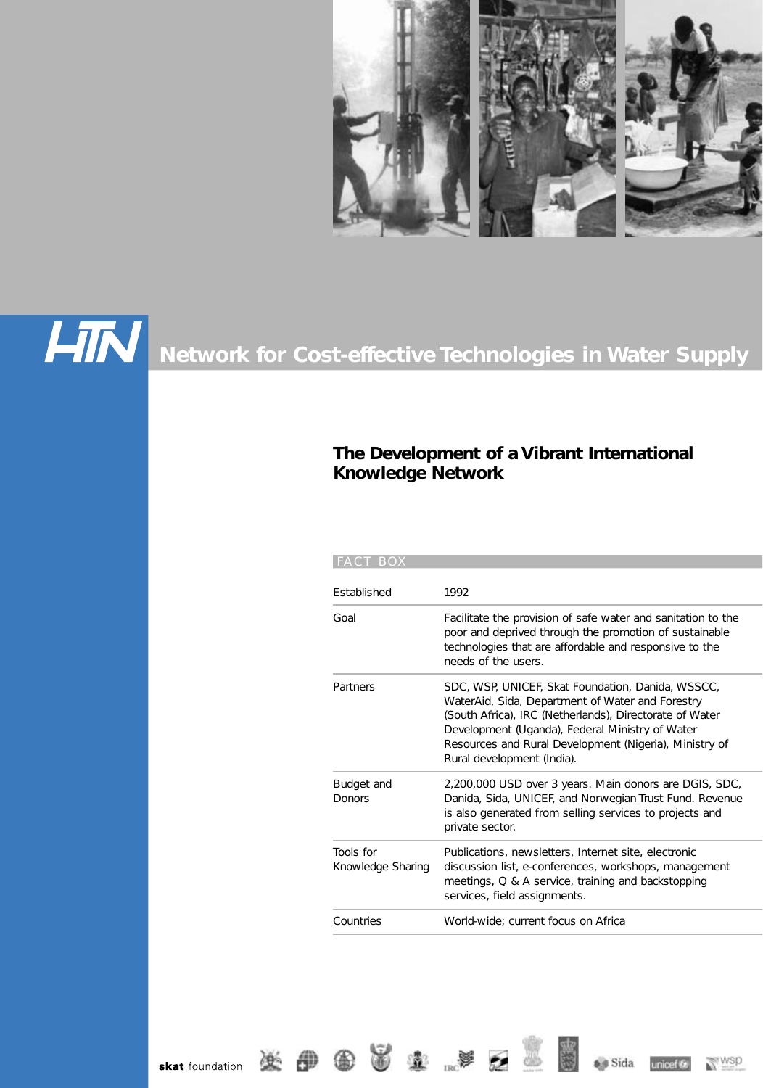



# **Network for Cost-effective Technologies in Water Supply**

 $R_{\rm RC}$ 

833

## **The Development of a Vibrant International Knowledge Network**

| <b>FACT BOX</b>                |                                                                                                                                                                                                                                                                                                             |
|--------------------------------|-------------------------------------------------------------------------------------------------------------------------------------------------------------------------------------------------------------------------------------------------------------------------------------------------------------|
| <b>Fstablished</b>             | 1992                                                                                                                                                                                                                                                                                                        |
| Goal                           | Facilitate the provision of safe water and sanitation to the<br>poor and deprived through the promotion of sustainable<br>technologies that are affordable and responsive to the<br>needs of the users.                                                                                                     |
| Partners                       | SDC, WSP, UNICEF, Skat Foundation, Danida, WSSCC,<br>WaterAid, Sida, Department of Water and Forestry<br>(South Africa), IRC (Netherlands), Directorate of Water<br>Development (Uganda), Federal Ministry of Water<br>Resources and Rural Development (Nigeria), Ministry of<br>Rural development (India). |
| Budget and<br>Donors           | 2,200,000 USD over 3 years. Main donors are DGIS, SDC,<br>Danida, Sida, UNICEF, and Norwegian Trust Fund. Revenue<br>is also generated from selling services to projects and<br>private sector.                                                                                                             |
| Tools for<br>Knowledge Sharing | Publications, newsletters, Internet site, electronic<br>discussion list, e-conferences, workshops, management<br>meetings, Q & A service, training and backstopping<br>services, field assignments.                                                                                                         |
| Countries                      | World-wide: current focus on Africa                                                                                                                                                                                                                                                                         |



s Sida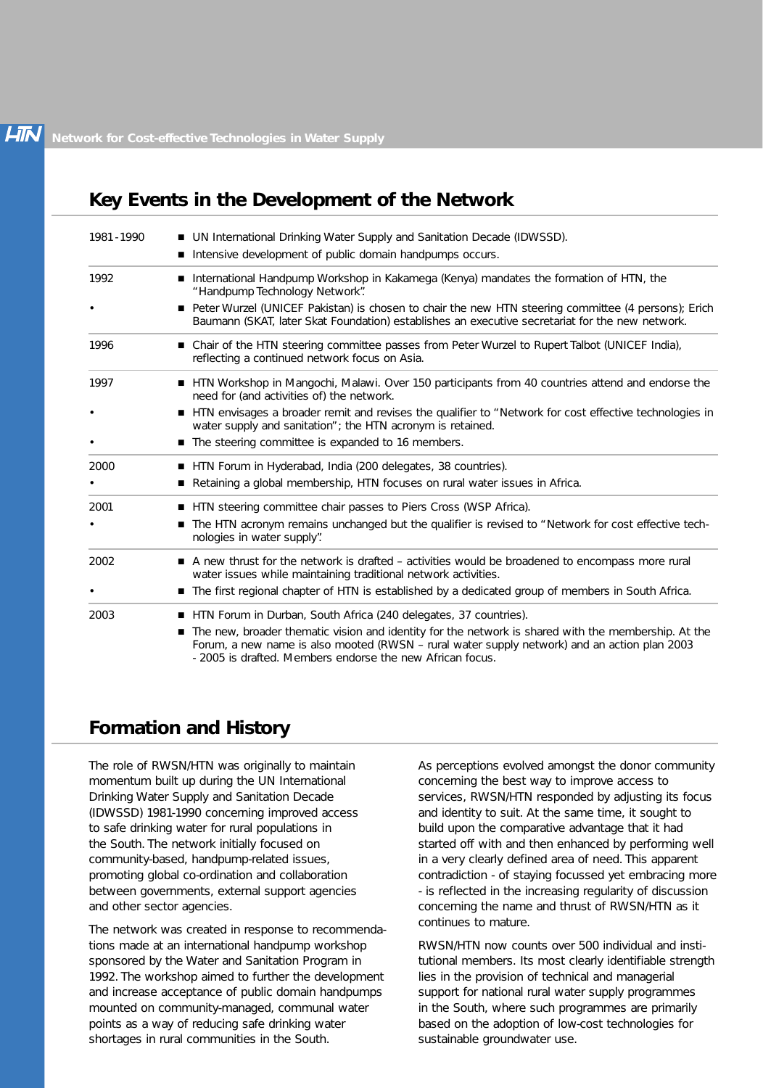# **Key Events in the Development of the Network**

| 1981 - 1990 | ■ UN International Drinking Water Supply and Sanitation Decade (IDWSSD).                                                                                                                                                                                         |
|-------------|------------------------------------------------------------------------------------------------------------------------------------------------------------------------------------------------------------------------------------------------------------------|
|             | Intensive development of public domain handpumps occurs.                                                                                                                                                                                                         |
| 1992        | ■ International Handpump Workshop in Kakamega (Kenya) mandates the formation of HTN, the<br>"Handpump Technology Network".                                                                                                                                       |
|             | Peter Wurzel (UNICEF Pakistan) is chosen to chair the new HTN steering committee (4 persons); Erich<br>Baumann (SKAT, later Skat Foundation) establishes an executive secretariat for the new network.                                                           |
| 1996        | ■ Chair of the HTN steering committee passes from Peter Wurzel to Rupert Talbot (UNICEF India),<br>reflecting a continued network focus on Asia.                                                                                                                 |
| 1997        | ■ HTN Workshop in Mangochi, Malawi. Over 150 participants from 40 countries attend and endorse the<br>need for (and activities of) the network.                                                                                                                  |
|             | ■ HTN envisages a broader remit and revises the qualifier to "Network for cost effective technologies in<br>water supply and sanitation"; the HTN acronym is retained.                                                                                           |
|             | ■ The steering committee is expanded to 16 members.                                                                                                                                                                                                              |
| 2000        | HTN Forum in Hyderabad, India (200 delegates, 38 countries).                                                                                                                                                                                                     |
|             | Retaining a global membership, HTN focuses on rural water issues in Africa.                                                                                                                                                                                      |
| 2001        | HTN steering committee chair passes to Piers Cross (WSP Africa).                                                                                                                                                                                                 |
|             | The HTN acronym remains unchanged but the qualifier is revised to "Network for cost effective tech-<br>nologies in water supply".                                                                                                                                |
| 2002        | A new thrust for the network is drafted – activities would be broadened to encompass more rural<br>water issues while maintaining traditional network activities.                                                                                                |
|             | ■ The first regional chapter of HTN is established by a dedicated group of members in South Africa.                                                                                                                                                              |
| 2003        | HTN Forum in Durban, South Africa (240 delegates, 37 countries).                                                                                                                                                                                                 |
|             | The new, broader thematic vision and identity for the network is shared with the membership. At the<br>Forum, a new name is also mooted (RWSN - rural water supply network) and an action plan 2003<br>- 2005 is drafted. Members endorse the new African focus. |

# **Formation and History**

The role of RWSN/HTN was originally to maintain momentum built up during the UN International Drinking Water Supply and Sanitation Decade (IDWSSD) 1981-1990 concerning improved access to safe drinking water for rural populations in the South. The network initially focused on community-based, handpump-related issues, promoting global co-ordination and collaboration between governments, external support agencies and other sector agencies.

The network was created in response to recommendations made at an international handpump workshop sponsored by the Water and Sanitation Program in 1992. The workshop aimed to further the development and increase acceptance of public domain handpumps mounted on community-managed, communal water points as a way of reducing safe drinking water shortages in rural communities in the South.

As perceptions evolved amongst the donor community concerning the best way to improve access to services, RWSN/HTN responded by adjusting its focus and identity to suit. At the same time, it sought to build upon the comparative advantage that it had started off with and then enhanced by performing well in a very clearly defined area of need. This apparent contradiction - of staying focussed yet embracing more - is reflected in the increasing regularity of discussion concerning the name and thrust of RWSN/HTN as it continues to mature.

RWSN/HTN now counts over 500 individual and institutional members. Its most clearly identifiable strength lies in the provision of technical and managerial support for national rural water supply programmes in the South, where such programmes are primarily based on the adoption of low-cost technologies for sustainable groundwater use.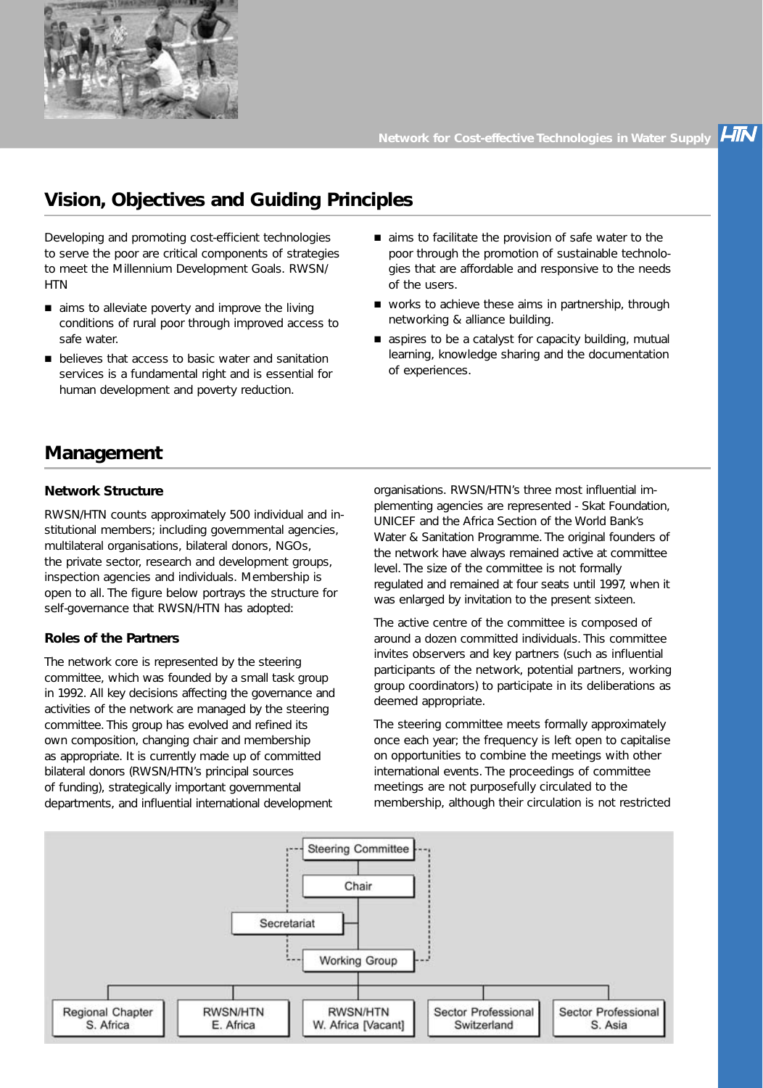

**LIN** 

# **Vision, Objectives and Guiding Principles**

Developing and promoting cost-efficient technologies to serve the poor are critical components of strategies to meet the Millennium Development Goals. RWSN/ **HTN** 

- $\blacksquare$  aims to alleviate poverty and improve the living conditions of rural poor through improved access to safe water.
- **n** believes that access to basic water and sanitation services is a fundamental right and is essential for human development and poverty reduction.
- aims to facilitate the provision of safe water to the poor through the promotion of sustainable technologies that are affordable and responsive to the needs of the users.
- $\blacksquare$  works to achieve these aims in partnership, through networking & alliance building.
- s aspires to be a catalyst for capacity building, mutual learning, knowledge sharing and the documentation of experiences.

# **Management**

#### **Network Structure**

RWSN/HTN counts approximately 500 individual and institutional members; including governmental agencies, multilateral organisations, bilateral donors, NGOs, the private sector, research and development groups, inspection agencies and individuals. Membership is open to all. The figure below portrays the structure for self-governance that RWSN/HTN has adopted:

#### **Roles of the Partners**

The network core is represented by the steering committee, which was founded by a small task group in 1992. All key decisions affecting the governance and activities of the network are managed by the steering committee. This group has evolved and refined its own composition, changing chair and membership as appropriate. It is currently made up of committed bilateral donors (RWSN/HTN's principal sources of funding), strategically important governmental departments, and influential international development

organisations. RWSN/HTN's three most influential implementing agencies are represented - Skat Foundation, UNICEF and the Africa Section of the World Bank's Water & Sanitation Programme. The original founders of the network have always remained active at committee level. The size of the committee is not formally regulated and remained at four seats until 1997, when it was enlarged by invitation to the present sixteen.

The active centre of the committee is composed of around a dozen committed individuals. This committee invites observers and key partners (such as influential participants of the network, potential partners, working group coordinators) to participate in its deliberations as deemed appropriate.

The steering committee meets formally approximately once each year; the frequency is left open to capitalise on opportunities to combine the meetings with other international events. The proceedings of committee meetings are not purposefully circulated to the membership, although their circulation is not restricted

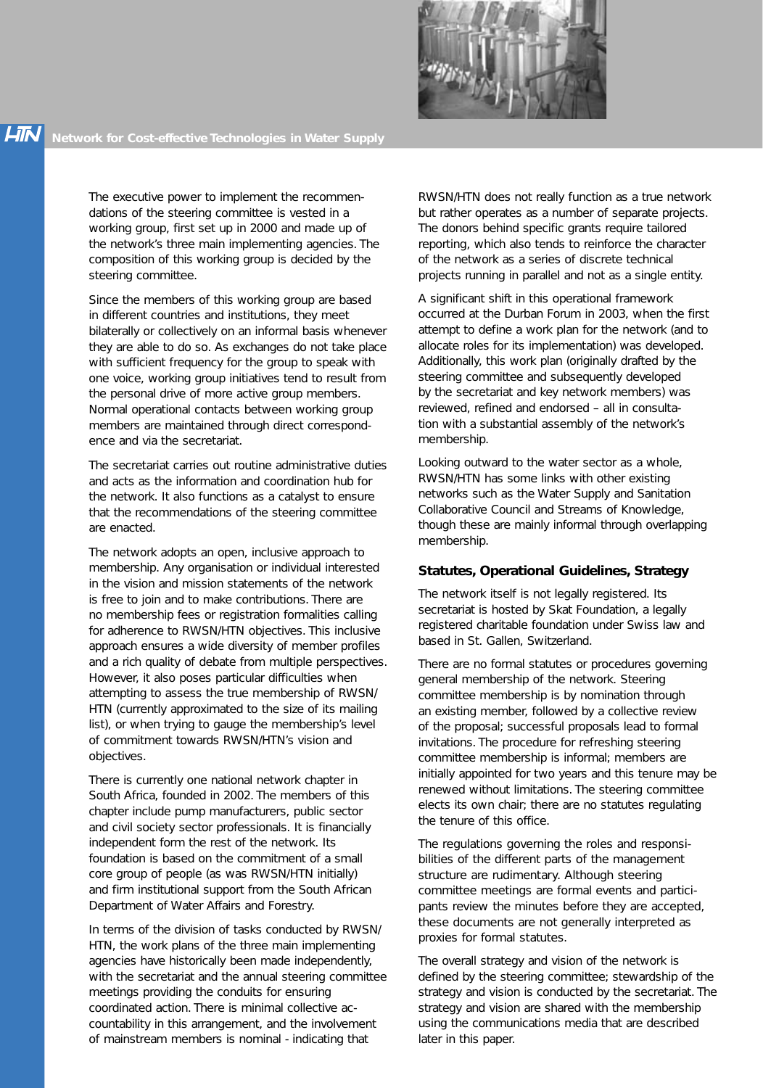

The executive power to implement the recommendations of the steering committee is vested in a working group, first set up in 2000 and made up of the network's three main implementing agencies. The composition of this working group is decided by the steering committee.

Since the members of this working group are based in different countries and institutions, they meet bilaterally or collectively on an informal basis whenever they are able to do so. As exchanges do not take place with sufficient frequency for the group to speak with one voice, working group initiatives tend to result from the personal drive of more active group members. Normal operational contacts between working group members are maintained through direct correspondence and via the secretariat.

The secretariat carries out routine administrative duties and acts as the information and coordination hub for the network. It also functions as a catalyst to ensure that the recommendations of the steering committee are enacted.

The network adopts an open, inclusive approach to membership. Any organisation or individual interested in the vision and mission statements of the network is free to join and to make contributions. There are no membership fees or registration formalities calling for adherence to RWSN/HTN objectives. This inclusive approach ensures a wide diversity of member profiles and a rich quality of debate from multiple perspectives. However, it also poses particular difficulties when attempting to assess the true membership of RWSN/ HTN (currently approximated to the size of its mailing list), or when trying to gauge the membership's level of commitment towards RWSN/HTN's vision and objectives.

There is currently one national network chapter in South Africa, founded in 2002. The members of this chapter include pump manufacturers, public sector and civil society sector professionals. It is financially independent form the rest of the network. Its foundation is based on the commitment of a small core group of people (as was RWSN/HTN initially) and firm institutional support from the South African Department of Water Affairs and Forestry.

In terms of the division of tasks conducted by RWSN/ HTN, the work plans of the three main implementing agencies have historically been made independently, with the secretariat and the annual steering committee meetings providing the conduits for ensuring coordinated action. There is minimal collective accountability in this arrangement, and the involvement of mainstream members is nominal - indicating that

RWSN/HTN does not really function as a true network but rather operates as a number of separate projects. The donors behind specific grants require tailored reporting, which also tends to reinforce the character of the network as a series of discrete technical projects running in parallel and not as a single entity.

A significant shift in this operational framework occurred at the Durban Forum in 2003, when the first attempt to define a work plan for the network (and to allocate roles for its implementation) was developed. Additionally, this work plan (originally drafted by the steering committee and subsequently developed by the secretariat and key network members) was reviewed, refined and endorsed – all in consultation with a substantial assembly of the network's membership.

Looking outward to the water sector as a whole, RWSN/HTN has some links with other existing networks such as the Water Supply and Sanitation Collaborative Council and Streams of Knowledge, though these are mainly informal through overlapping membership.

#### **Statutes, Operational Guidelines, Strategy**

The network itself is not legally registered. Its secretariat is hosted by Skat Foundation, a legally registered charitable foundation under Swiss law and based in St. Gallen, Switzerland.

There are no formal statutes or procedures governing general membership of the network. Steering committee membership is by nomination through an existing member, followed by a collective review of the proposal; successful proposals lead to formal invitations. The procedure for refreshing steering committee membership is informal; members are initially appointed for two years and this tenure may be renewed without limitations. The steering committee elects its own chair; there are no statutes regulating the tenure of this office.

The regulations governing the roles and responsibilities of the different parts of the management structure are rudimentary. Although steering committee meetings are formal events and participants review the minutes before they are accepted, these documents are not generally interpreted as proxies for formal statutes.

The overall strategy and vision of the network is defined by the steering committee; stewardship of the strategy and vision is conducted by the secretariat. The strategy and vision are shared with the membership using the communications media that are described later in this paper.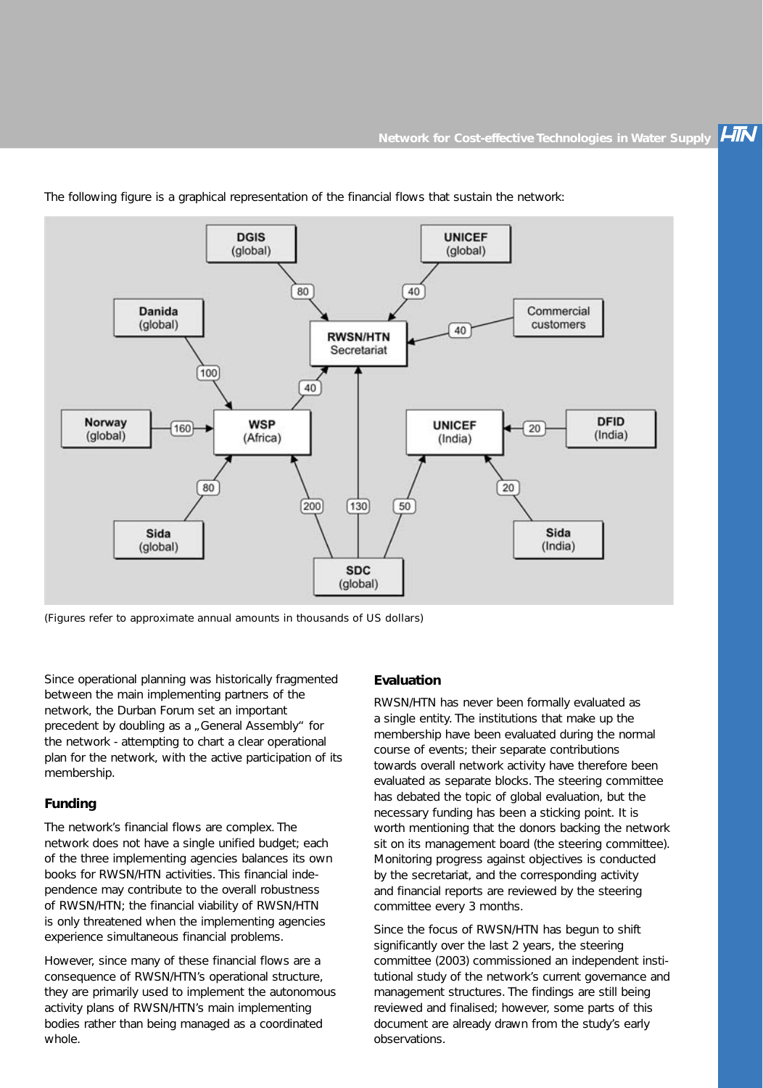**HIN** 



The following figure is a graphical representation of the financial flows that sustain the network:

(Figures refer to approximate annual amounts in thousands of US dollars)

Since operational planning was historically fragmented between the main implementing partners of the network, the Durban Forum set an important precedent by doubling as a , General Assembly" for the network - attempting to chart a clear operational plan for the network, with the active participation of its membership.

#### **Funding**

The network's financial flows are complex. The network does not have a single unified budget; each of the three implementing agencies balances its own books for RWSN/HTN activities. This financial independence may contribute to the overall robustness of RWSN/HTN; the financial viability of RWSN/HTN is only threatened when the implementing agencies experience simultaneous financial problems.

However, since many of these financial flows are a consequence of RWSN/HTN's operational structure, they are primarily used to implement the autonomous activity plans of RWSN/HTN's main implementing bodies rather than being managed as a coordinated whole.

#### **Evaluation**

RWSN/HTN has never been formally evaluated as a single entity. The institutions that make up the membership have been evaluated during the normal course of events; their separate contributions towards overall network activity have therefore been evaluated as separate blocks. The steering committee has debated the topic of global evaluation, but the necessary funding has been a sticking point. It is worth mentioning that the donors backing the network sit on its management board (the steering committee). Monitoring progress against objectives is conducted by the secretariat, and the corresponding activity and financial reports are reviewed by the steering committee every 3 months.

Since the focus of RWSN/HTN has begun to shift significantly over the last 2 years, the steering committee (2003) commissioned an independent institutional study of the network's current governance and management structures. The findings are still being reviewed and finalised; however, some parts of this document are already drawn from the study's early observations.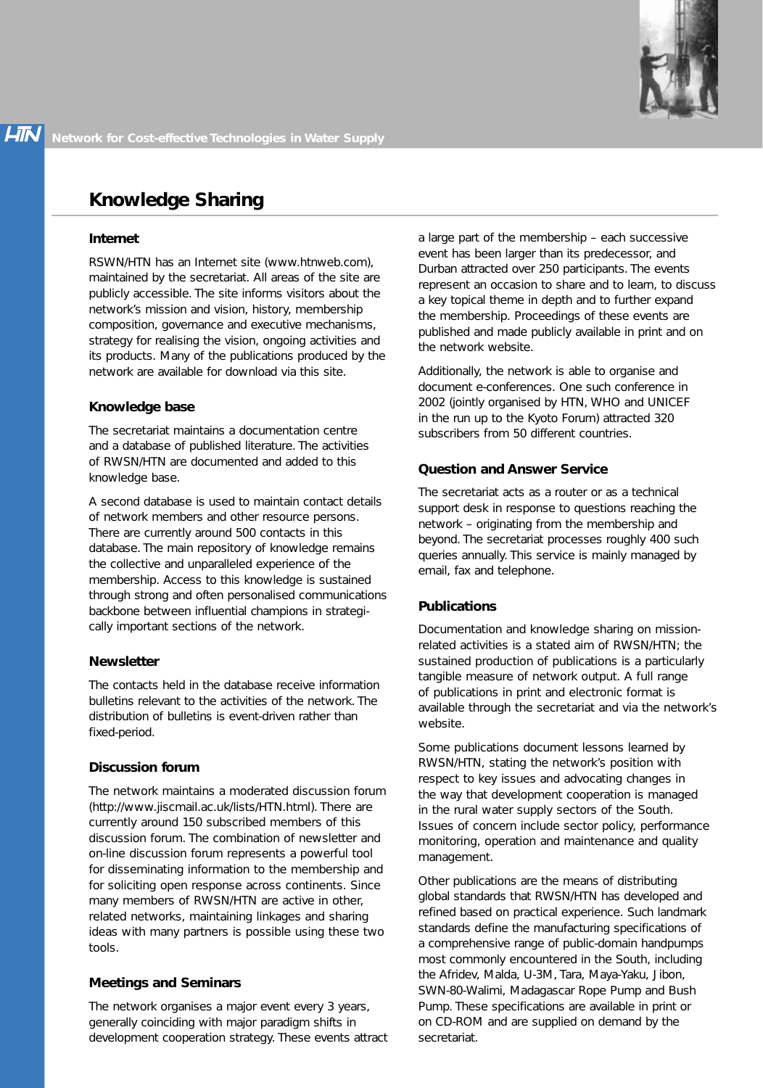# **Knowledge Sharing**

#### **Internet**

RSWN/HTN has an Internet site (www.htnweb.com), maintained by the secretariat. All areas of the site are publicly accessible. The site informs visitors about the network's mission and vision, history, membership composition, governance and executive mechanisms, strategy for realising the vision, ongoing activities and its products. Many of the publications produced by the network are available for download via this site.

#### **Knowledge base**

The secretariat maintains a documentation centre and a database of published literature. The activities of RWSN/HTN are documented and added to this knowledge base.

A second database is used to maintain contact details of network members and other resource persons. There are currently around 500 contacts in this database. The main repository of knowledge remains the collective and unparalleled experience of the membership. Access to this knowledge is sustained through strong and often personalised communications backbone between influential champions in strategically important sections of the network.

## **Newsletter**

The contacts held in the database receive information bulletins relevant to the activities of the network. The distribution of bulletins is event-driven rather than fixed-period.

## **Discussion forum**

The network maintains a moderated discussion forum (http://www.jiscmail.ac.uk/lists/HTN.html). There are currently around 150 subscribed members of this discussion forum. The combination of newsletter and on-line discussion forum represents a powerful tool for disseminating information to the membership and for soliciting open response across continents. Since many members of RWSN/HTN are active in other, related networks, maintaining linkages and sharing ideas with many partners is possible using these two tools.

## **Meetings and Seminars**

The network organises a major event every 3 years, generally coinciding with major paradigm shifts in development cooperation strategy. These events attract a large part of the membership – each successive event has been larger than its predecessor, and Durban attracted over 250 participants. The events represent an occasion to share and to learn, to discuss a key topical theme in depth and to further expand the membership. Proceedings of these events are published and made publicly available in print and on the network website.

Additionally, the network is able to organise and document e-conferences. One such conference in 2002 (jointly organised by HTN, WHO and UNICEF in the run up to the Kyoto Forum) attracted 320 subscribers from 50 different countries.

## **Question and Answer Service**

The secretariat acts as a router or as a technical support desk in response to questions reaching the network – originating from the membership and beyond. The secretariat processes roughly 400 such queries annually. This service is mainly managed by email, fax and telephone.

## **Publications**

Documentation and knowledge sharing on missionrelated activities is a stated aim of RWSN/HTN; the sustained production of publications is a particularly tangible measure of network output. A full range of publications in print and electronic format is available through the secretariat and via the network's website.

Some publications document lessons learned by RWSN/HTN, stating the network's position with respect to key issues and advocating changes in the way that development cooperation is managed in the rural water supply sectors of the South. Issues of concern include sector policy, performance monitoring, operation and maintenance and quality management.

Other publications are the means of distributing global standards that RWSN/HTN has developed and refined based on practical experience. Such landmark standards define the manufacturing specifications of a comprehensive range of public-domain handpumps most commonly encountered in the South, including the Afridev, Malda, U-3M, Tara, Maya-Yaku, Jibon, SWN-80-Walimi, Madagascar Rope Pump and Bush Pump. These specifications are available in print or on CD-ROM and are supplied on demand by the secretariat.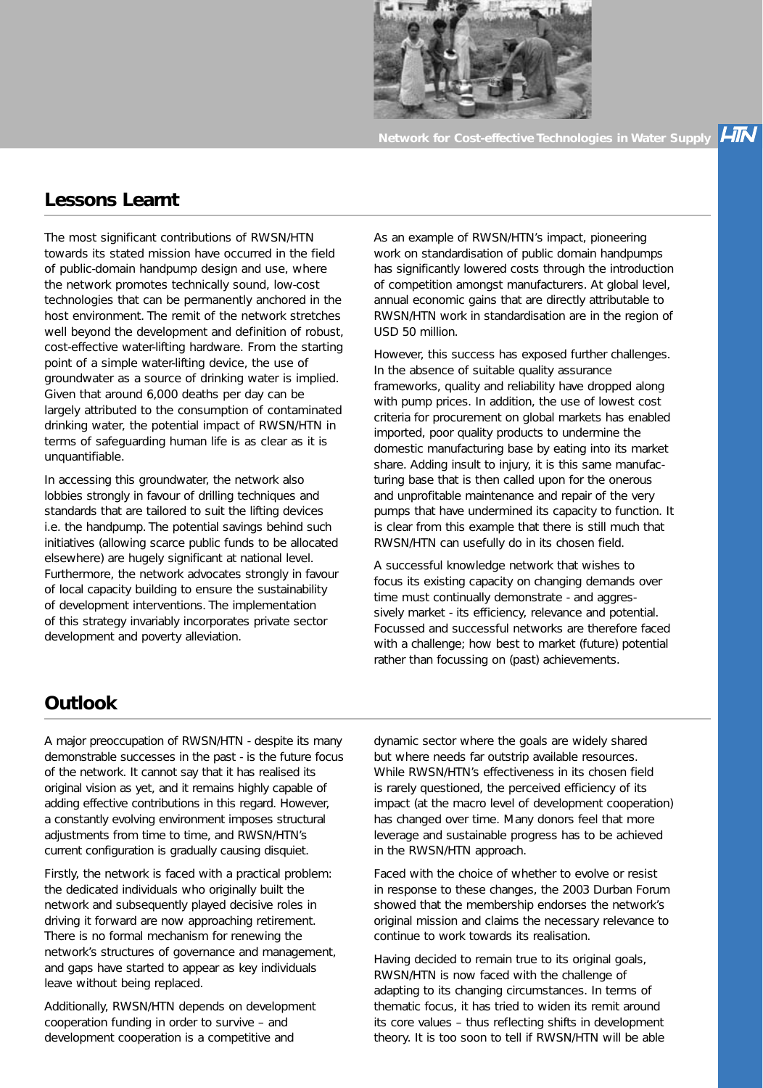

**Network for Cost-effective Technologies in Water Supply** 

LIN

## **Lessons Learnt**

The most significant contributions of RWSN/HTN towards its stated mission have occurred in the field of public-domain handpump design and use, where the network promotes technically sound, low-cost technologies that can be permanently anchored in the host environment. The remit of the network stretches well beyond the development and definition of robust, cost-effective water-lifting hardware. From the starting point of a simple water-lifting device, the use of groundwater as a source of drinking water is implied. Given that around 6,000 deaths per day can be largely attributed to the consumption of contaminated drinking water, the potential impact of RWSN/HTN in terms of safeguarding human life is as clear as it is unquantifiable.

In accessing this groundwater, the network also lobbies strongly in favour of drilling techniques and standards that are tailored to suit the lifting devices i.e. the handpump. The potential savings behind such initiatives (allowing scarce public funds to be allocated elsewhere) are hugely significant at national level. Furthermore, the network advocates strongly in favour of local capacity building to ensure the sustainability of development interventions. The implementation of this strategy invariably incorporates private sector development and poverty alleviation.

As an example of RWSN/HTN's impact, pioneering work on standardisation of public domain handpumps has significantly lowered costs through the introduction of competition amongst manufacturers. At global level, annual economic gains that are directly attributable to RWSN/HTN work in standardisation are in the region of USD 50 million.

However, this success has exposed further challenges. In the absence of suitable quality assurance frameworks, quality and reliability have dropped along with pump prices. In addition, the use of lowest cost criteria for procurement on global markets has enabled imported, poor quality products to undermine the domestic manufacturing base by eating into its market share. Adding insult to injury, it is this same manufacturing base that is then called upon for the onerous and unprofitable maintenance and repair of the very pumps that have undermined its capacity to function. It is clear from this example that there is still much that RWSN/HTN can usefully do in its chosen field.

A successful knowledge network that wishes to focus its existing capacity on changing demands over time must continually demonstrate - and aggressively market - its efficiency, relevance and potential. Focussed and successful networks are therefore faced with a challenge; how best to market (future) potential rather than focussing on (past) achievements.

# **Outlook**

A major preoccupation of RWSN/HTN - despite its many demonstrable successes in the past - is the future focus of the network. It cannot say that it has realised its original vision as yet, and it remains highly capable of adding effective contributions in this regard. However, a constantly evolving environment imposes structural adjustments from time to time, and RWSN/HTN's current configuration is gradually causing disquiet.

Firstly, the network is faced with a practical problem: the dedicated individuals who originally built the network and subsequently played decisive roles in driving it forward are now approaching retirement. There is no formal mechanism for renewing the network's structures of governance and management, and gaps have started to appear as key individuals leave without being replaced.

Additionally, RWSN/HTN depends on development cooperation funding in order to survive – and development cooperation is a competitive and

dynamic sector where the goals are widely shared but where needs far outstrip available resources. While RWSN/HTN's effectiveness in its chosen field is rarely questioned, the perceived efficiency of its impact (at the macro level of development cooperation) has changed over time. Many donors feel that more leverage and sustainable progress has to be achieved in the RWSN/HTN approach.

Faced with the choice of whether to evolve or resist in response to these changes, the 2003 Durban Forum showed that the membership endorses the network's original mission and claims the necessary relevance to continue to work towards its realisation.

Having decided to remain true to its original goals, RWSN/HTN is now faced with the challenge of adapting to its changing circumstances. In terms of thematic focus, it has tried to widen its remit around its core values – thus reflecting shifts in development theory. It is too soon to tell if RWSN/HTN will be able